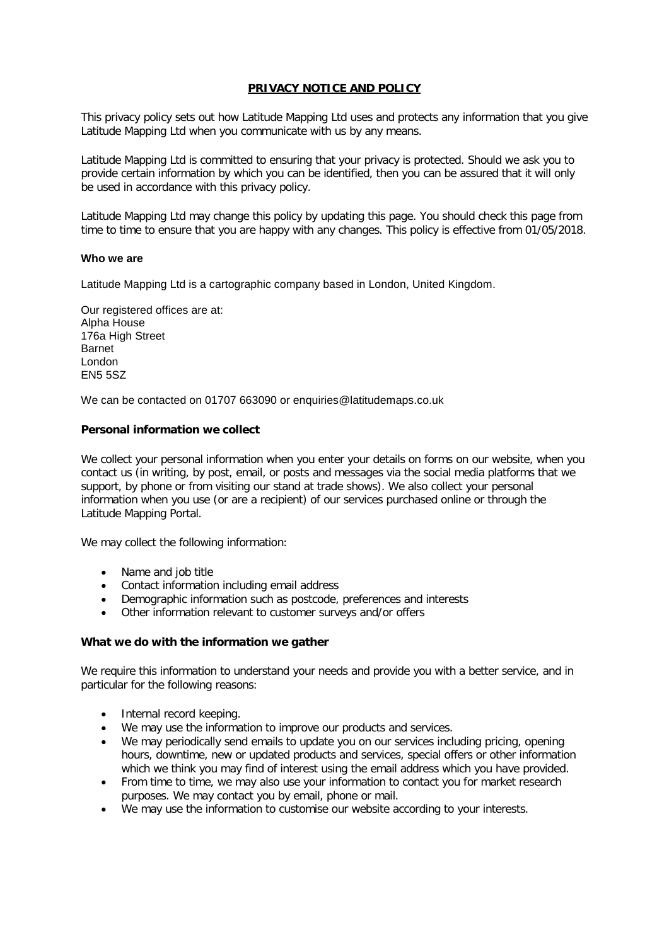# **PRIVACY NOTICE AND POLICY**

This privacy policy sets out how Latitude Mapping Ltd uses and protects any information that you give Latitude Mapping Ltd when you communicate with us by any means.

Latitude Mapping Ltd is committed to ensuring that your privacy is protected. Should we ask you to provide certain information by which you can be identified, then you can be assured that it will only be used in accordance with this privacy policy.

Latitude Mapping Ltd may change this policy by updating this page. You should check this page from time to time to ensure that you are happy with any changes. This policy is effective from 01/05/2018.

## **Who we are**

Latitude Mapping Ltd is a cartographic company based in London, United Kingdom.

Our registered offices are at: Alpha House 176a High Street Barnet London EN5 5SZ

We can be contacted on 01707 663090 or enquiries@latitudemaps.co.uk

## **Personal information we collect**

We collect your personal information when you enter your details on forms on our website, when you contact us (in writing, by post, email, or posts and messages via the social media platforms that we support, by phone or from visiting our stand at trade shows). We also collect your personal information when you use (or are a recipient) of our services purchased online or through the Latitude Mapping Portal.

We may collect the following information:

- Name and job title
- Contact information including email address
- Demographic information such as postcode, preferences and interests
- Other information relevant to customer surveys and/or offers

### **What we do with the information we gather**

We require this information to understand your needs and provide you with a better service, and in particular for the following reasons:

- Internal record keeping.
- We may use the information to improve our products and services.
- We may periodically send emails to update you on our services including pricing, opening hours, downtime, new or updated products and services, special offers or other information which we think you may find of interest using the email address which you have provided.
- From time to time, we may also use your information to contact you for market research purposes. We may contact you by email, phone or mail.
- We may use the information to customise our website according to your interests.